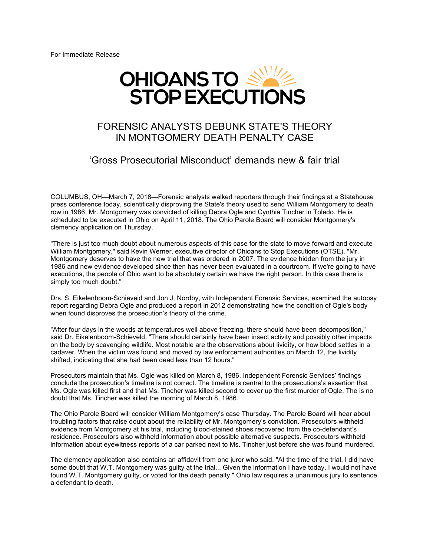For Immediate Release



## FORENSIC ANALYSTS DEBUNK STATE'S THEORY IN MONTGOMERY DEATH PENALTY CASE

## 'Gross Prosecutorial Misconduct' demands new & fair trial

COLUMBUS, OH—March 7, 2018—Forensic analysts walked reporters through their findings at a Statehouse press conference today, scientifically disproving the State's theory used to send William Montgomery to death row in 1986. Mr. Montgomery was convicted of killing Debra Ogle and Cynthia Tincher in Toledo. He is scheduled to be executed in Ohio on April 11, 2018. The Ohio Parole Board will consider Montgomery's clemency application on Thursday.

"There is just too much doubt about numerous aspects of this case for the state to move forward and execute William Montgomery," said Kevin Werner, executive director of Ohioans to Stop Executions (OTSE). "Mr. Montgomery deserves to have the new trial that was ordered in 2007. The evidence hidden from the jury in 1986 and new evidence developed since then has never been evaluated in a courtroom. If we're going to have executions, the people of Ohio want to be absolutely certain we have the right person. In this case there is simply too much doubt."

Drs. S. Eikelenboom-Schieveid and Jon J. Nordby, with Independent Forensic Services, examined the autopsy report regarding Debra Ogle and produced a report in 2012 demonstrating how the condition of Ogle's body when found disproves the prosecution's theory of the crime.

"After four days in the woods at temperatures well above freezing, there should have been decomposition," said Dr. Eikelenboom-Schieveld. "There should certainly have been insect activity and possibly other impacts on the body by scavenging wildlife. Most notable are the observations about lividity, or how blood settles in a cadaver. When the victim was found and moved by law enforcement authorities on March 12, the lividity shifted, indicating that she had been dead less than 12 hours."

Prosecutors maintain that Ms. Ogle was killed on March 8, 1986. Independent Forensic Services' findings conclude the prosecution's timeline is not correct. The timeline is central to the prosecutions's assertion that Ms. Ogle was killed first and that Ms. Tincher was killed second to cover up the first murder of Ogle. The is no doubt that Ms. Tincher was killed the morning of March 8, 1986.

The Ohio Parole Board will consider William Montgomery's case Thursday. The Parole Board will hear about troubling factors that raise doubt about the reliability of Mr. Montgomery's conviction. Prosecutors withheld evidence from Montgomery at his trial, including blood-stained shoes recovered from the co-defendant's residence. Prosecutors also withheld information about possible alternative suspects. Prosecutors withheld information about eyewitness reports of a car parked next to Ms. Tincher just before she was found murdered.

The clemency application also contains an affidavit from one juror who said, "At the time of the trial, I did have some doubt that W.T. Montgomery was guilty at the trial... Given the information I have today, I would not have found W.T. Montgomery guilty, or voted for the death penalty." Ohio law requires a unanimous jury to sentence a defendant to death.